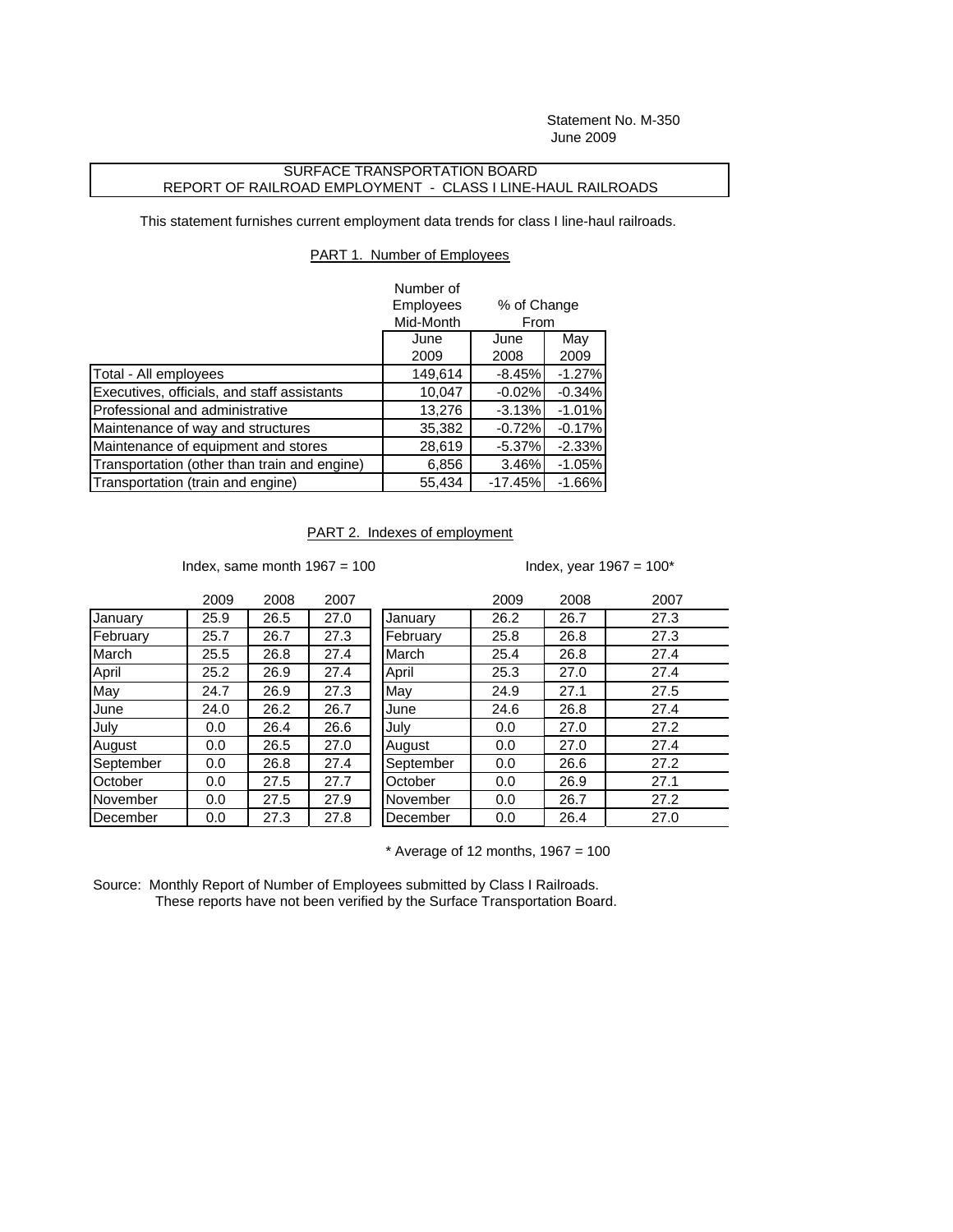Statement No. M-350 June 2009

## SURFACE TRANSPORTATION BOARD REPORT OF RAILROAD EMPLOYMENT - CLASS I LINE-HAUL RAILROADS

This statement furnishes current employment data trends for class I line-haul railroads.

## PART 1. Number of Employees

|                                              | Number of |             |          |  |
|----------------------------------------------|-----------|-------------|----------|--|
|                                              | Employees | % of Change |          |  |
|                                              | Mid-Month | From        |          |  |
|                                              | June      | June        | May      |  |
|                                              | 2009      | 2008        | 2009     |  |
| Total - All employees                        | 149,614   | $-8.45%$    | $-1.27%$ |  |
| Executives, officials, and staff assistants  | 10,047    | $-0.02%$    | $-0.34%$ |  |
| Professional and administrative              | 13,276    | $-3.13%$    | $-1.01%$ |  |
| Maintenance of way and structures            | 35,382    | $-0.72%$    | $-0.17%$ |  |
| Maintenance of equipment and stores          | 28,619    | $-5.37%$    | $-2.33%$ |  |
| Transportation (other than train and engine) | 6,856     | 3.46%       | $-1.05%$ |  |
| Transportation (train and engine)            | 55,434    | $-17.45%$   | $-1.66%$ |  |

## PART 2. Indexes of employment

Index, same month  $1967 = 100$  Index, year  $1967 = 100^*$ 

|           | 2009 | 2008 | 2007 |           | 2009 | 2008 | 2007 |
|-----------|------|------|------|-----------|------|------|------|
| January   | 25.9 | 26.5 | 27.0 | January   | 26.2 | 26.7 | 27.3 |
| February  | 25.7 | 26.7 | 27.3 | February  | 25.8 | 26.8 | 27.3 |
| March     | 25.5 | 26.8 | 27.4 | March     | 25.4 | 26.8 | 27.4 |
| April     | 25.2 | 26.9 | 27.4 | April     | 25.3 | 27.0 | 27.4 |
| May       | 24.7 | 26.9 | 27.3 | May       | 24.9 | 27.1 | 27.5 |
| June      | 24.0 | 26.2 | 26.7 | June      | 24.6 | 26.8 | 27.4 |
| July      | 0.0  | 26.4 | 26.6 | July      | 0.0  | 27.0 | 27.2 |
| August    | 0.0  | 26.5 | 27.0 | August    | 0.0  | 27.0 | 27.4 |
| September | 0.0  | 26.8 | 27.4 | September | 0.0  | 26.6 | 27.2 |
| October   | 0.0  | 27.5 | 27.7 | October   | 0.0  | 26.9 | 27.1 |
| November  | 0.0  | 27.5 | 27.9 | November  | 0.0  | 26.7 | 27.2 |
| December  | 0.0  | 27.3 | 27.8 | December  | 0.0  | 26.4 | 27.0 |

 $*$  Average of 12 months, 1967 = 100

Source: Monthly Report of Number of Employees submitted by Class I Railroads. These reports have not been verified by the Surface Transportation Board.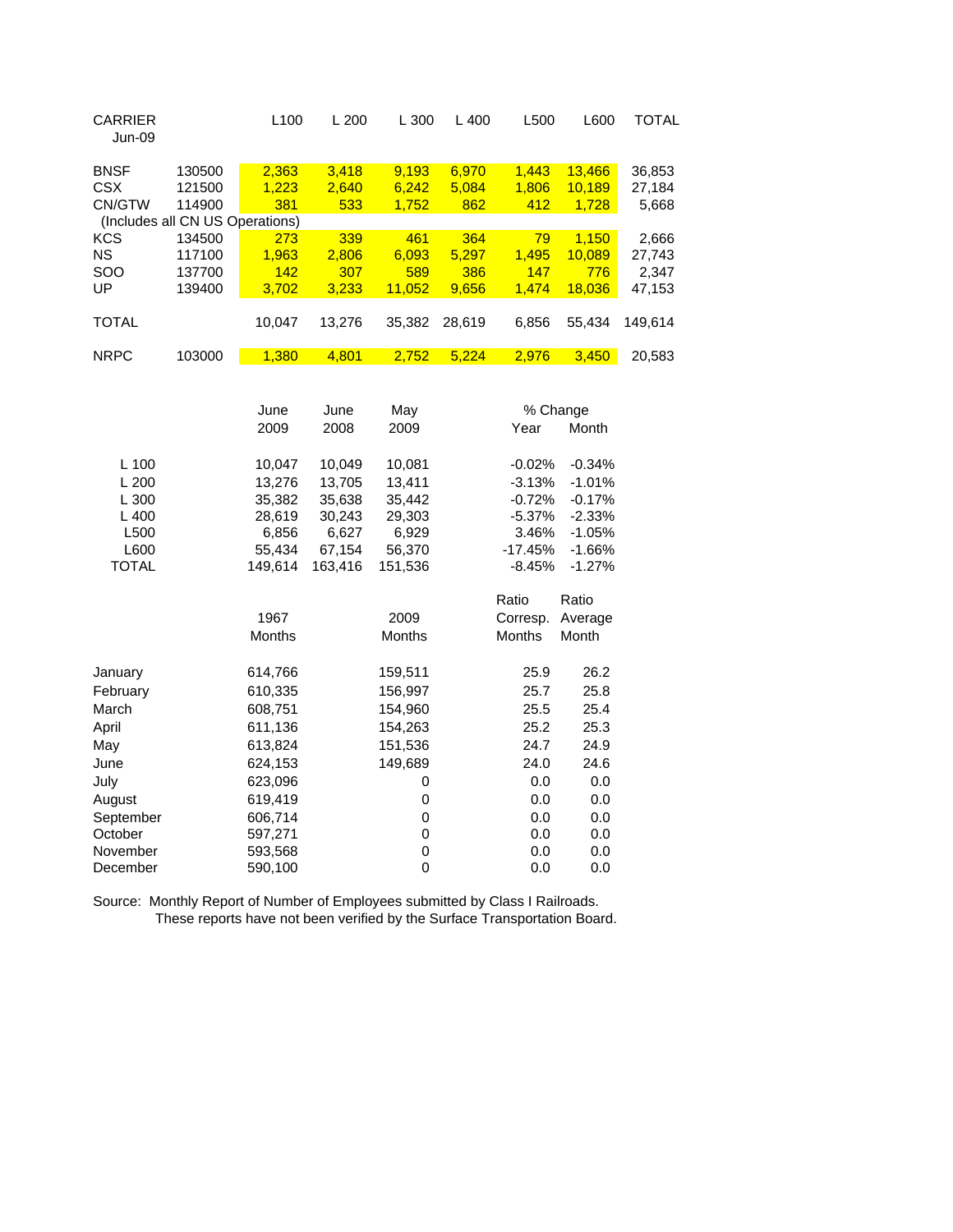| <b>CARRIER</b><br><b>Jun-09</b>     |                            | L <sub>100</sub>      | L200                  | L 300                   | L 400                 | L500                  | L600                      | <b>TOTAL</b>              |
|-------------------------------------|----------------------------|-----------------------|-----------------------|-------------------------|-----------------------|-----------------------|---------------------------|---------------------------|
| <b>BNSF</b><br><b>CSX</b><br>CN/GTW | 130500<br>121500<br>114900 | 2,363<br>1,223<br>381 | 3,418<br>2,640<br>533 | 9,193<br>6,242<br>1,752 | 6,970<br>5,084<br>862 | 1,443<br>1,806<br>412 | 13,466<br>10,189<br>1,728 | 36,853<br>27,184<br>5,668 |
| (Includes all CN US Operations)     |                            |                       |                       |                         |                       |                       |                           |                           |
| <b>KCS</b>                          | 134500                     | 273                   | 339                   | 461                     | 364                   | 79                    | 1,150                     | 2,666                     |
| <b>NS</b>                           | 117100                     | 1,963                 | 2,806                 | 6,093                   | 5,297                 | 1,495                 | 10,089                    | 27,743                    |
| SOO<br>UP                           | 137700<br>139400           | 142<br>3,702          | 307<br>3,233          | 589<br>11,052           | 386<br>9,656          | 147<br>1,474          | 776<br>18,036             | 2,347<br>47,153           |
| <b>TOTAL</b>                        |                            | 10,047                | 13,276                | 35,382                  | 28,619                | 6,856                 | 55,434                    | 149,614                   |
| <b>NRPC</b>                         | 103000                     | 1,380                 | 4,801                 | 2,752                   | 5,224                 | 2,976                 | 3,450                     | 20,583                    |
|                                     |                            | June                  | June                  | May                     |                       | % Change              |                           |                           |
|                                     |                            | 2009                  | 2008                  | 2009                    |                       | Year                  | Month                     |                           |
| $L$ 100                             |                            | 10,047                | 10,049                | 10,081                  |                       | $-0.02%$              | $-0.34%$                  |                           |
| L200                                |                            | 13,276                | 13,705                | 13,411                  |                       | $-3.13%$              | $-1.01%$                  |                           |
| L 300                               |                            | 35,382                | 35,638                | 35,442                  |                       | $-0.72%$              | $-0.17%$                  |                           |
| L 400                               |                            | 28,619                | 30,243                | 29,303                  |                       | $-5.37%$              | $-2.33%$                  |                           |
| L500                                |                            | 6,856                 | 6,627                 | 6,929                   |                       | 3.46%                 | $-1.05%$                  |                           |
| L600                                |                            | 55,434                | 67,154                | 56,370                  |                       | $-17.45%$             | $-1.66%$                  |                           |
| <b>TOTAL</b>                        |                            | 149.614               | 163,416               | 151,536                 |                       | $-8.45%$              | $-1.27%$                  |                           |
|                                     |                            |                       |                       |                         |                       | Ratio                 | Ratio                     |                           |
|                                     |                            | 1967                  |                       | 2009                    |                       | Corresp.              | Average                   |                           |
|                                     |                            | Months                |                       | Months                  |                       | <b>Months</b>         | Month                     |                           |
| January                             |                            | 614,766               |                       | 159,511                 |                       | 25.9                  | 26.2                      |                           |

| February  | 610,335 | 156,997 | 25.7 | 25.8 |
|-----------|---------|---------|------|------|
| March     | 608,751 | 154,960 | 25.5 | 25.4 |
| April     | 611,136 | 154,263 | 25.2 | 25.3 |
| May       | 613,824 | 151,536 | 24.7 | 24.9 |
| June      | 624,153 | 149,689 | 24.0 | 24.6 |
| July      | 623,096 | 0       | 0.0  | 0.0  |
| August    | 619,419 | 0       | 0.0  | 0.0  |
| September | 606,714 | 0       | 0.0  | 0.0  |
| October   | 597,271 | 0       | 0.0  | 0.0  |
| November  | 593,568 | 0       | 0.0  | 0.0  |
| December  | 590,100 | 0       | 0.0  | 0.0  |
|           |         |         |      |      |

Source: Monthly Report of Number of Employees submitted by Class I Railroads. These reports have not been verified by the Surface Transportation Board.